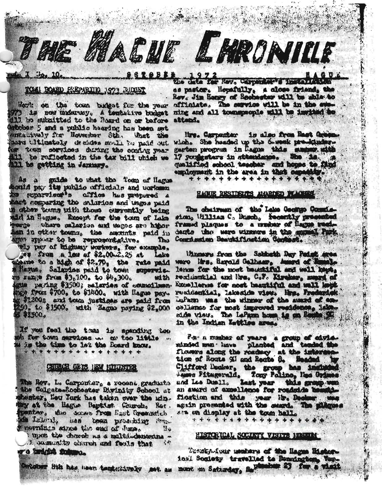THE MACUE LHRONICE

# TOWER CAND EXEMPTIE 1973 BUDGET

Weeth on the town budget for the year 73 is now underway. A tembrative budget 113 he subsitted to the Roard on or before strier 5 and a public hearing has been set enterively for November Sth. What the we take sorvices during the outing year til te reflected in the tax bill which we 111 be getting in January.

As a guide to that the Tom of Hages muld pay its public officials and ucrimen to supervisor's affice has prepared a a chhor toung uith those ourrently being and in Hagne. Except for the toun of Lake wate where selectos and mages are hinor an in otker towns, the amounts paid in agos appear to be representative. **Thu** 

wis pay of highway workers, for example. 15 Zunge from \$3,100. to \$4,300. uith gue paging \$3500; seleries of commodisennge fram \$700, to \$1400, with Hages payw \$12002 and toon justiges are paid from 31500.

If you feel the twa is spanding too oh for tom survices ... or too 11941. w is the time to let the Board know. \* \* \* \* \* \* \* \* \* \* \* \* \* \* \* \*

# GRUENCH GETS INM FITHESTER

The Rev. L. Carponier, a recent graduate the Colgate-Rochester Divinity School at heater, Heu Turk has taken over the minby at the Hagne Baptier Church, Rot. pentar, the sones from East Greenwich recenters advant the earl of June H.

types the charact as a malti-democine. And alcel han normal colorance. I.  $\langle \cdot \rangle$ 

ra indgia futuru.

STORIE To the New Corporate The Latitude as pastor. Hopefully, a close friend, the Rev. Jim Honey of Rechaster will be able to officiate. The survice will be in the comming and all tounspeople will be invited to attand.

> Mrs. Carponter is also from Bast Green. wich. She headed up the 6-week pre-kinderqualified school teacher and hopes to find employment in the area in that capacity. **\*\*\*\*\*\*\*\*\*\*\*\*\*\*\*\*\***

#### HAGUE DESTDETTS ANARDED FLACERS.

The chairman of the Lake Google Complesion, William C., Busch, Secently presented framed plaques to a musher of Hages residants the were stresses in the seams! Park Congrigation Beautification Contest.

Winners from the Soldesth Day Paties area lenow for the most beautiful and well hapt. rendmential and hes. C.F. Mraker, must af Romellerse for most beautiful and well be residential, lakeside view. Hes. Frederick lefam was the winner of the small of encollisms for most improved residence, lakein the Indian Intiles area.

For a maker of years a group of civiawinded man - have planted and tended the Thoses along the roading at the interestion tion of Route 91 and Route 8. Beaded by Clifford Decker, the group has included an award of expellence for roudside bead floation and this year it. Decker ... again presented with the search The phigues Ats on display at the town hall.

\*\*\*\*\*\*\*\*\*\*\*\*\*\*\*\*\*

# HERPRICAL SOCIETY VENTS HELLER

Teamspatrus members of the Hages History ioul Society travelled to Rendactor. View-Ontaber Sth has usen tembritively aw. as much m Satisday, B. Wester 23 for a visit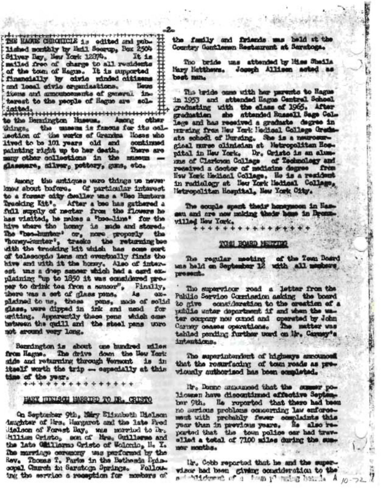THE HACKE CHRONICLE is edited and published monthly by Enil Secrep, Box 2504 Silver Bay, New York 12874. It is mailed free of charge to all residents of the town of Hague. It is unparted financially by civic runded citizens and local civic cryenisations. Liegra items and announcements of general. intarest to the people of Hague are sol-

to the Bernington Nussus. Among other things. the unseem is famous for its colmechion of the works of Grantes Hoses who lived to be 101 years old and continued painting right up to her death. There are many other collections in the museum . glassana, silver, pottery, guns, etc.

Among the antiques were things no never know about bafore. Of particular interest to a former city dealler uns a 'Bec Hunters Trucking Kit'. After a bee has gathered a full supply of nectar from the flowers he has visited, he makes a "boomline" for the hive where the homey is made and stored. The "bes-hunter" or, nore proporly the "honey-nunter", tracks the returning bee with the tracking kit which has some sort of tolescopic lans and eventually finds the hive and with it the homey. Also of interout uns a drop samour which had a card explaining "up to 1850 it was considered propar to drink to afrom a sensor", Finally, there was a set of glass pens. As  $0.35$ plained to us, these pens, mode of solid<br>glass, were dipped in ink and used for uriting, Apparently these pens which combetween the quill and the steel pans upro not around very long.

Bennington is about one hundred uiles side and returning through Versont is in itself worth the trip -- especially at this time of the year.

**+++++++++++++++** 

# HARY HIBISON HARRIED TO IR. CRISTO

On Septomber 9th, Sary Elizabeth Hielson imuritar of lirs, Hargaret and the late fied dielson of Forest Bay, was morried to Dr. Hillian Cristo, son of Mrs. Guillarse and the late Okillermo Oristo of Wolonio, He Is The marriage ceremony was performed by the Rev. Thomas T. Paris in the Bethesda Ppiscopal Church in Saratogn Springs. Following the service a reception for mombers of

the family and friends mas beld at the Country Gantleman Restaurant at Saratoga.

Tho bride uns attended by Miss Sheila Mary Matthews. Joseph Allison acted as best min.

This bride came with her parents to Hague<br>in 1953 and attended Hague Central School graduating with the class of 1965. After graduation she attended Russell Sage Callege and has received a graduate degree in repreing from New York Hedical College Gradeats school of Dursing. She is a neurosurgical murse climician at Netwopolitan Hospital in New York. Dr. Oristo is an alummus of Clarkoon College of Technology and received a doctor of medicine degree from New York Netton1 College. He is a resident in radialogy at Beg Lork Bediesl Collage, Metropolitan Hospital, New York City.

The counts spark thats honeysoon in Hasasu and are now muking their heas in Dressvilled New York. \*\*\*\*\*\*\*\*\*\*<del>\*\*\*\*</del>\*

#### TOEI BOARD MEETING

The regular meeting of the Tom Board mas held on September 12 with all members prosent.

The supervisor read a letter from the Public Service Commission asking the board to give consideration to the creation of a public water department if and when the water company now cannot and operated by John Carrey ceases operations. The matter was tahlad pending further werd on Mr. Carmey's intentions.

The superintendent of highways arrounced that the rommfacing of tom reads as previously authorised has been completed.

itr. Donne managed that the summer poligen have discontinued effective Septe bar 9th. He reported that there had been no serious problems concerning law enforcemout with probably fower complaints this your than in previous years. He also reparted that the town police car had travelled a total of 7100 miles during the summer months.

ir. Cobb reported that he and the superwisce had been giveng consideration to the and anticomercial in four phonology beards. A 10-72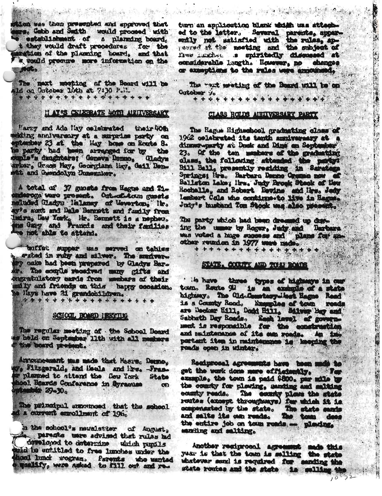tion was then presented and spproved that<br>see. Gobb and Seith would proceed with establishment of a planning board, t they would draft procedures for the it would precure more information on the **JOUR** 

· 新闻地面出版 100 法流行化

The mast mosting of the Reard will be \*\*\*\*\*\*\*\*\*\*\*\*\*\*\*\*\*

# N ATOS CELEBRATE 40TH MELTVERSARY

Harry and Ada Hay colohanted their 40th dding anniversory at a surprise party on phenicer 23 at the Hay hope on Route 8. sparty had been arranged for by the mis's daughters; Geneva Denno, Cladys where, Grace May, Georgiana Hay, Gail Bon-At and Georgiology Junepales.

A tetal of 37 guests from Hagte and Tianderoga ware present. Ont af ton guests cluded Gladys Halanay of Weverton, It. w's aunt and Dale Benestt and fastly from mdra, Day York, Hr. Bennett is a nepheu. e not able to attend.

terfiet maper uns served on tables ... rated in ruby and silver. The sundware my cake had been prepared by Cladys Barr. The couple received many gifts and ongratulatory cards from members of their mily and friends on this happy cocasion. se Hays have 21 grandchildren. \*\*\*\*\*\*\*\*\*\*\*\*\*\*\*\*\*\*

# SCHOOL HOMED ISKYTIG

The regular meeting of the School Board the board present.

Announcement mas made that Messe, Denne, We Fitzgerald, and Heals and Pre-Franplanmed to attend the Gow York State hool Hoards Conference in Syracuse  $op$  $29 - 30$ 

The principal arrowneed that the school d a current enrollment of 196.

in the school's newslatter of August, de parents use advised that rules ad developed to determine which pumils aid be untitled to free lunches under the hool lunci wogram. Psrents who wanted mealify, were asked to fill out and re-

turn en applicetion blank which uns attached to the letter. Several parents, apperfine inches is spiritedly discussed at considerable laugth. However, no chance or exampliers to the rales were emperadely

人名英格兰人姓氏法 化分子分布 计字符 医神经细胞细胞

The west menting of the Board will be on Octobur yo 

+ + + +

**大大的 地名美国** 

地产 原因 人名

# CLASS ROLDS AIRITUERSARY PARTY

The Hagus Higheshool graduating class of 1962 colabrated its tanth anniveranty at a dimens-party at Dock and Dine on September 23. Of the ten members of the graduating class, the following attended the party: Bill Ball, presently residing in Sarates Rochalle, and Robert Bevins and Mrs. Jedy Lesbart Cola who continue-to live in Eagus. Judy's husband Ton Shook was also presente

The party which had been dreamed up dust ing the unser by Roger, Judy and Barbara other reunden in 1977 were made... \*\*\*\*\*\*\*\*\*\*\*\*\*\*\*

#### STATE, COUNTY AND TOUT BOATS

tie have three types of highesys in our toun. Route 90 is an exchange of a state is a County Road. Examples of town reads are Declar Hill, Doct Hill, Silver Bay and Sabbath Day Roads, East lavel of governportant item in maintenance is keeping the ronds open in sinter.

Reciprosel agreements have been much to get the work done more efficiently. The example, the town is paid \$800. par mile by the county for plasting, sanding and milting county reads. The county place the state compensated by the state. The state sands and salts its own reads. The tom dees the entire job on toun roads ... pleading. satiling and salting.

Another regimeonl agreement mais this. year is that the town is selling the state whatever send is required for sending the state routes and the state is selling t